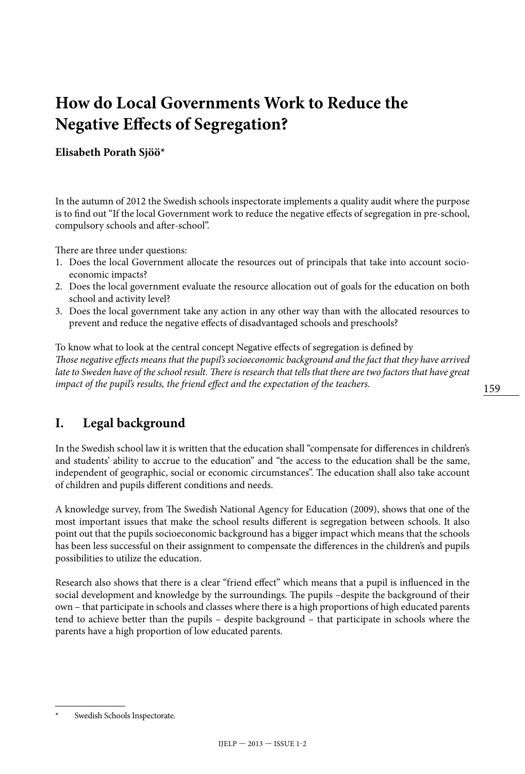# **How do Local Governments Work to Reduce the Negative Effects of Segregation?**

#### **Elisabeth Porath Sjöö\***

In the autumn of 2012 the Swedish schools inspectorate implements a quality audit where the purpose is to find out "If the local Government work to reduce the negative effects of segregation in pre-school, compulsory schools and after-school".

There are three under questions:

- 1. Does the local Government allocate the resources out of principals that take into account socioeconomic impacts?
- 2. Does the local government evaluate the resource allocation out of goals for the education on both school and activity level?
- 3. Does the local government take any action in any other way than with the allocated resources to prevent and reduce the negative effects of disadvantaged schools and preschools?

To know what to look at the central concept Negative effects of segregation is defined by *Those negative effects means that the pupil's socioeconomic background and the fact that they have arrived*  late to Sweden have of the school result. There is research that tells that there are two factors that have great *impact of the pupil's results, the friend effect and the expectation of the teachers.* 

#### **I. Legal background**

In the Swedish school law it is written that the education shall "compensate for differences in children's and students' ability to accrue to the education" and "the access to the education shall be the same, independent of geographic, social or economic circumstances". The education shall also take account of children and pupils different conditions and needs.

A knowledge survey, from The Swedish National Agency for Education (2009), shows that one of the most important issues that make the school results different is segregation between schools. It also point out that the pupils socioeconomic background has a bigger impact which means that the schools has been less successful on their assignment to compensate the differences in the children's and pupils possibilities to utilize the education.

Research also shows that there is a clear "friend effect" which means that a pupil is influenced in the social development and knowledge by the surroundings. The pupils –despite the background of their own – that participate in schools and classes where there is a high proportions of high educated parents tend to achieve better than the pupils – despite background – that participate in schools where the parents have a high proportion of low educated parents.

Swedish Schools Inspectorate.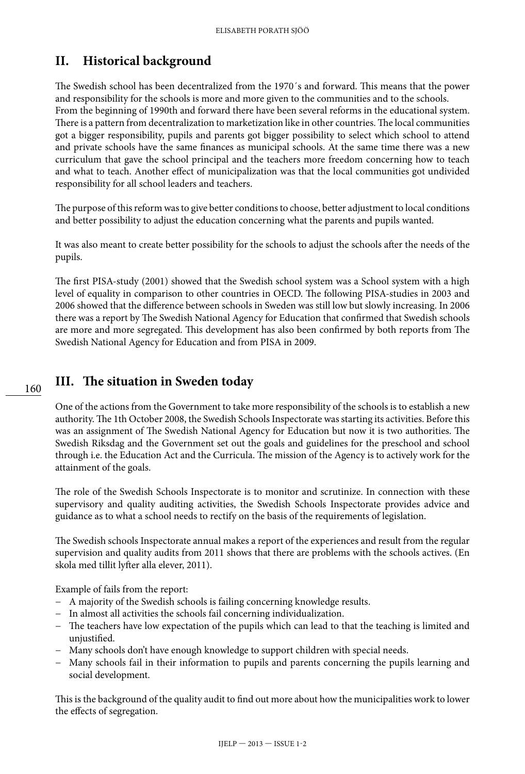# **II. Historical background**

The Swedish school has been decentralized from the 1970´s and forward. This means that the power and responsibility for the schools is more and more given to the communities and to the schools. From the beginning of 1990th and forward there have been several reforms in the educational system. There is a pattern from decentralization to marketization like in other countries. The local communities got a bigger responsibility, pupils and parents got bigger possibility to select which school to attend and private schools have the same finances as municipal schools. At the same time there was a new curriculum that gave the school principal and the teachers more freedom concerning how to teach and what to teach. Another effect of municipalization was that the local communities got undivided responsibility for all school leaders and teachers.

The purpose of this reform was to give better conditions to choose, better adjustment to local conditions and better possibility to adjust the education concerning what the parents and pupils wanted.

It was also meant to create better possibility for the schools to adjust the schools after the needs of the pupils.

The first PISA-study (2001) showed that the Swedish school system was a School system with a high level of equality in comparison to other countries in OECD. The following PISA-studies in 2003 and 2006 showed that the difference between schools in Sweden was still low but slowly increasing. In 2006 there was a report by The Swedish National Agency for Education that confirmed that Swedish schools are more and more segregated. This development has also been confirmed by both reports from The Swedish National Agency for Education and from PISA in 2009.

### **III. The situation in Sweden today**

One of the actions from the Government to take more responsibility of the schools is to establish a new authority. The 1th October 2008, the Swedish Schools Inspectorate was starting its activities. Before this was an assignment of The Swedish National Agency for Education but now it is two authorities. The Swedish Riksdag and the Government set out the goals and guidelines for the preschool and school through i.e. the Education Act and the Curricula. The mission of the Agency is to actively work for the attainment of the goals.

The role of the Swedish Schools Inspectorate is to monitor and scrutinize. In connection with these supervisory and quality auditing activities, the Swedish Schools Inspectorate provides advice and guidance as to what a school needs to rectify on the basis of the requirements of legislation.

The Swedish schools Inspectorate annual makes a report of the experiences and result from the regular supervision and quality audits from 2011 shows that there are problems with the schools actives. (En skola med tillit lyfter alla elever, 2011).

Example of fails from the report:

- − A majority of the Swedish schools is failing concerning knowledge results.
- − In almost all activities the schools fail concerning individualization.
- − The teachers have low expectation of the pupils which can lead to that the teaching is limited and unjustified.
- − Many schools don't have enough knowledge to support children with special needs.
- − Many schools fail in their information to pupils and parents concerning the pupils learning and social development.

This is the background of the quality audit to find out more about how the municipalities work to lower the effects of segregation.